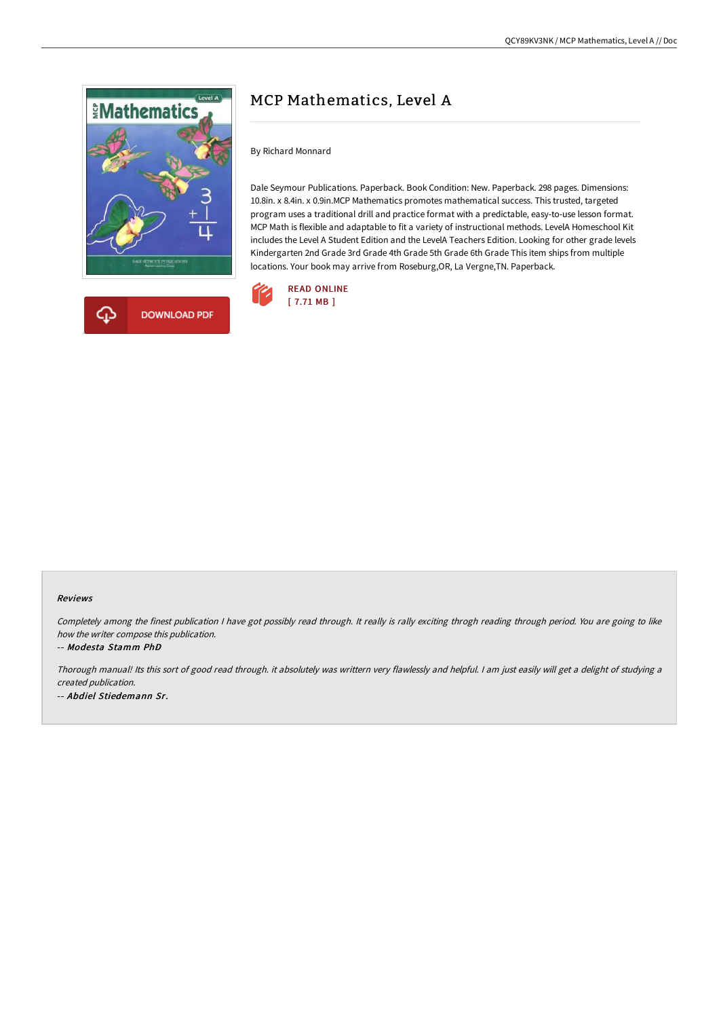



# MCP Mathematics, Level A

By Richard Monnard

Dale Seymour Publications. Paperback. Book Condition: New. Paperback. 298 pages. Dimensions: 10.8in. x 8.4in. x 0.9in.MCP Mathematics promotes mathematical success. This trusted, targeted program uses a traditional drill and practice format with a predictable, easy-to-use lesson format. MCP Math is flexible and adaptable to fit a variety of instructional methods. LevelA Homeschool Kit includes the Level A Student Edition and the LevelA Teachers Edition. Looking for other grade levels Kindergarten 2nd Grade 3rd Grade 4th Grade 5th Grade 6th Grade This item ships from multiple locations. Your book may arrive from Roseburg,OR, La Vergne,TN. Paperback.



#### Reviews

Completely among the finest publication I have got possibly read through. It really is rally exciting throgh reading through period. You are going to like how the writer compose this publication.

#### -- Modesta Stamm PhD

Thorough manual! Its this sort of good read through. it absolutely was writtern very flawlessly and helpful. <sup>I</sup> am just easily will get <sup>a</sup> delight of studying <sup>a</sup> created publication. -- Abdiel Stiedemann Sr.